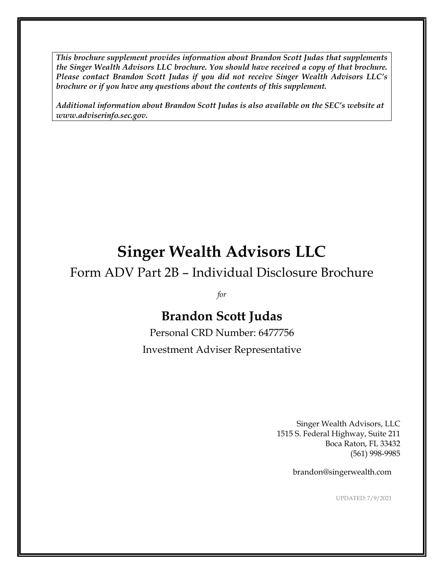*This brochure supplement provides information about Brandon Scott Judas that supplements the Singer Wealth Advisors LLC brochure. You should have received a copy of that brochure. Please contact Brandon Scott Judas if you did not receive Singer Wealth Advisors LLC's brochure or if you have any questions about the contents of this supplement.*

*Additional information about Brandon Scott Judas is also available on the SEC's website at [www.adviserinfo.sec.gov.](http://www.adviserinfo.sec.gov/)*

# **Singer Wealth Advisors LLC**

Form ADV Part 2B – Individual Disclosure Brochure

*for*

## **Brandon Scott Judas**

Personal CRD Number: 6477756 Investment Adviser Representative

> Singer Wealth Advisors, LLC 1515 S. Federal Highway, Suite 211 Boca Raton, FL 33432 (561) 998-9985

> > brandon@singerwealth.com

UPDATED: 7/9/2021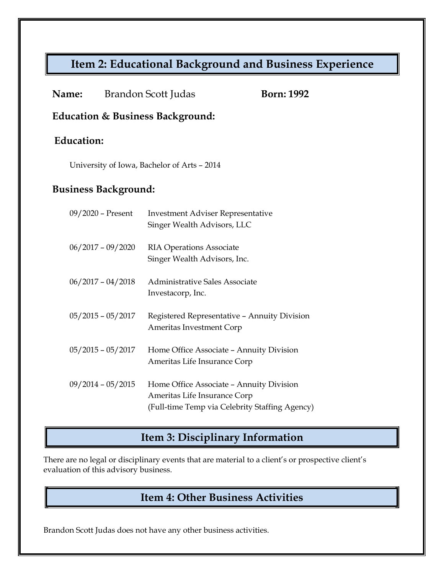## **Item 2: Educational Background and Business Experience**

| Name:                                       |                     | Brandon Scott Judas                                                                                                        | <b>Born: 1992</b> |
|---------------------------------------------|---------------------|----------------------------------------------------------------------------------------------------------------------------|-------------------|
| <b>Education &amp; Business Background:</b> |                     |                                                                                                                            |                   |
| <b>Education:</b>                           |                     |                                                                                                                            |                   |
| University of Iowa, Bachelor of Arts - 2014 |                     |                                                                                                                            |                   |
| <b>Business Background:</b>                 |                     |                                                                                                                            |                   |
|                                             | 09/2020 - Present   | <b>Investment Adviser Representative</b><br>Singer Wealth Advisors, LLC                                                    |                   |
|                                             | $06/2017 - 09/2020$ | <b>RIA Operations Associate</b><br>Singer Wealth Advisors, Inc.                                                            |                   |
|                                             | $06/2017 - 04/2018$ | <b>Administrative Sales Associate</b><br>Investacorp, Inc.                                                                 |                   |
|                                             | $05/2015 - 05/2017$ | Registered Representative - Annuity Division<br>Ameritas Investment Corp                                                   |                   |
|                                             | $05/2015 - 05/2017$ | Home Office Associate - Annuity Division<br>Ameritas Life Insurance Corp                                                   |                   |
|                                             | $09/2014 - 05/2015$ | Home Office Associate - Annuity Division<br>Ameritas Life Insurance Corp<br>(Full-time Temp via Celebrity Staffing Agency) |                   |

## **Item 3: Disciplinary Information**

There are no legal or disciplinary events that are material to a client's or prospective client's evaluation of this advisory business.

#### **Item 4: Other Business Activities**

Brandon Scott Judas does not have any other business activities.